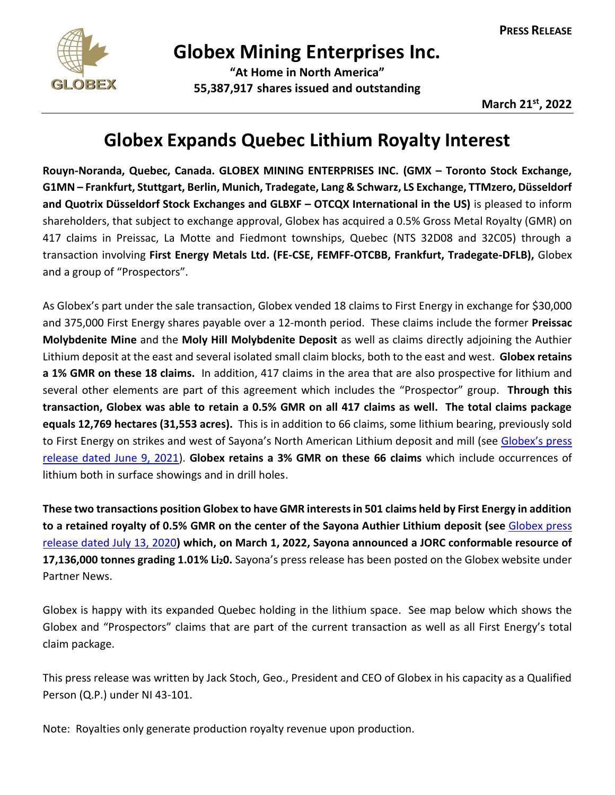

## **Globex Mining Enterprises Inc.**

**"At Home in North America" 55,387,917 shares issued and outstanding**

## **Globex Expands Quebec Lithium Royalty Interest**

**Rouyn-Noranda, Quebec, Canada. GLOBEX MINING ENTERPRISES INC. (GMX – Toronto Stock Exchange, G1MN – Frankfurt, Stuttgart, Berlin, Munich, Tradegate, Lang & Schwarz, LS Exchange, TTMzero, Düsseldorf and Quotrix Düsseldorf Stock Exchanges and GLBXF – OTCQX International in the US)** is pleased to inform shareholders, that subject to exchange approval, Globex has acquired a 0.5% Gross Metal Royalty (GMR) on 417 claims in Preissac, La Motte and Fiedmont townships, Quebec (NTS 32D08 and 32C05) through a transaction involving **First Energy Metals Ltd. (FE-CSE, FEMFF-OTCBB, Frankfurt, Tradegate-DFLB),** Globex and a group of "Prospectors".

As Globex's part under the sale transaction, Globex vended 18 claims to First Energy in exchange for \$30,000 and 375,000 First Energy shares payable over a 12-month period. These claims include the former **Preissac Molybdenite Mine** and the **Moly Hill Molybdenite Deposit** as well as claims directly adjoining the Authier Lithium deposit at the east and several isolated small claim blocks, both to the east and west. **Globex retains a 1% GMR on these 18 claims.** In addition, 417 claims in the area that are also prospective for lithium and several other elements are part of this agreement which includes the "Prospector" group. **Through this transaction, Globex was able to retain a 0.5% GMR on all 417 claims as well. The total claims package equals 12,769 hectares (31,553 acres).** This is in addition to 66 claims, some lithium bearing, previously sold to First Energy on strikes and west of Sayona's North American Lithium deposit and mill (see Globex's press [release dated June 9, 2021\)](https://www.globexmining.com/staging/admin/news_pdfs/2021-06-08%20Globex%20vends%20the%20McNeely%20Property.pdf). **Globex retains a 3% GMR on these 66 claims** which include occurrences of lithium both in surface showings and in drill holes.

**These two transactions position Globex to have GMR interests in 501 claims held by First Energy in addition to a retained royalty of 0.5% GMR on the center of the Sayona Authier Lithium deposit (see** [Globex press](https://www.globexmining.com/staging/admin/news_pdfs/2020-07-13%20Globex%20Vends%20Some%20Specialty%20Mineral%20Royalty%20Assets.pdf)  [release dated July 13, 2020](https://www.globexmining.com/staging/admin/news_pdfs/2020-07-13%20Globex%20Vends%20Some%20Specialty%20Mineral%20Royalty%20Assets.pdf)**) which, on March 1, 2022, Sayona announced a JORC conformable resource of 17,136,000 tonnes grading 1.01% Li20.** Sayona's press release has been posted on the Globex website under Partner News.

Globex is happy with its expanded Quebec holding in the lithium space. See map below which shows the Globex and "Prospectors" claims that are part of the current transaction as well as all First Energy's total claim package.

This press release was written by Jack Stoch, Geo., President and CEO of Globex in his capacity as a Qualified Person (Q.P.) under NI 43-101.

Note: Royalties only generate production royalty revenue upon production.